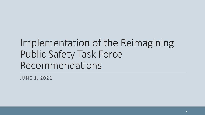# Implementation of the Reimagining Public Safety Task Force Recommendations

JUNE 1, 2021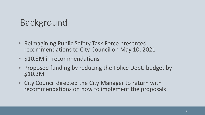### Background

- Reimagining Public Safety Task Force presented recommendations to City Council on May 10, 2021
- **\$10.3M** in recommendations
- Proposed funding by reducing the Police Dept. budget by \$10.3M
- City Council directed the City Manager to return with recommendations on how to implement the proposals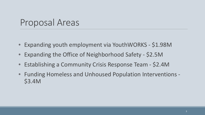#### Proposal Areas

- Expanding youth employment via YouthWORKS \$1.98M
- Expanding the Office of Neighborhood Safety \$2.5M
- Establishing a Community Crisis Response Team \$2.4M
- Funding Homeless and Unhoused Population Interventions \$3.4M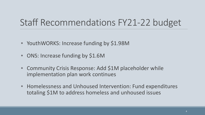### Staff Recommendations FY21-22 budget

- YouthWORKS: Increase funding by \$1.98M
- ONS: Increase funding by \$1.6M
- Community Crisis Response: Add \$1M placeholder while implementation plan work continues
- Homelessness and Unhoused Intervention: Fund expenditures totaling \$1M to address homeless and unhoused issues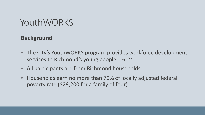#### **Background**

- The City's YouthWORKS program provides workforce development services to Richmond's young people, 16-24
- All participants are from Richmond households
- Households earn no more than 70% of locally adjusted federal poverty rate (\$29,200 for a family of four)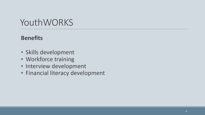#### **Benefits**

- Skills development
- Workforce training
- Interview development
- Financial literacy development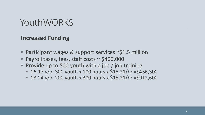#### **Increased Funding**

- Participant wages & support services ~\$1.5 million
- Payroll taxes, fees, staff costs ~ \$400,000
- Provide up to 500 youth with a job / job training
	- 16-17 y/o: 300 youth x 100 hours x \$15.21/hr = \$456,300
	- 18-24 y/o: 200 youth x 300 hours x \$15.21/hr = \$912,600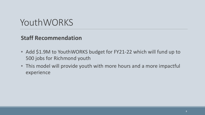#### **Staff Recommendation**

- Add \$1.9M to YouthWORKS budget for FY21-22 which will fund up to 500 jobs for Richmond youth
- This model will provide youth with more hours and a more impactful experience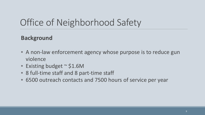#### **Background**

- A non-law enforcement agency whose purpose is to reduce gun violence
- Existing budget  $\sim$  \$1.6M
- 8 full-time staff and 8 part-time staff
- 6500 outreach contacts and 7500 hours of service per year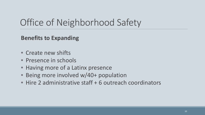#### **Benefits to Expanding**

- Create new shifts
- Presence in schools
- Having more of a Latinx presence
- Being more involved w/40+ population
- Hire 2 administrative staff + 6 outreach coordinators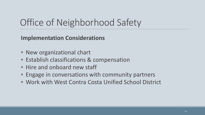**Implementation Considerations**

- New organizational chart
- Establish classifications & compensation
- Hire and onboard new staff
- Engage in conversations with community partners
- Work with West Contra Costa Unified School District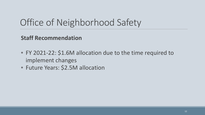**Staff Recommendation** 

- FY 2021-22: \$1.6M allocation due to the time required to implement changes
- Future Years: \$2.5M allocation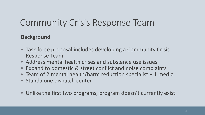#### **Background**

- Task force proposal includes developing a Community Crisis Response Team
- Address mental health crises and substance use issues
- Expand to domestic & street conflict and noise complaints
- Team of 2 mental health/harm reduction specialist + 1 medic
- Standalone dispatch center
- Unlike the first two programs, program doesn't currently exist.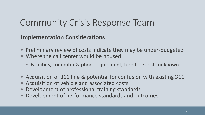#### **Implementation Considerations**

- Preliminary review of costs indicate they may be under-budgeted
- Where the call center would be housed
	- Facilities, computer & phone equipment, furniture costs unknown
- Acquisition of 311 line & potential for confusion with existing 311
- Acquisition of vehicle and associated costs
- Development of professional training standards
- Development of performance standards and outcomes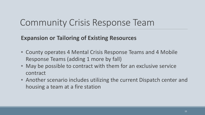#### **Expansion or Tailoring of Existing Resources**

- County operates 4 Mental Crisis Response Teams and 4 Mobile Response Teams (adding 1 more by fall)
- May be possible to contract with them for an exclusive service contract
- Another scenario includes utilizing the current Dispatch center and housing a team at a fire station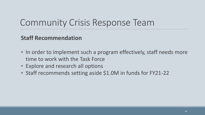#### **Staff Recommendation**

- In order to implement such a program effectively, staff needs more time to work with the Task Force
- Explore and research all options
- Staff recommends setting aside \$1.0M in funds for FY21-22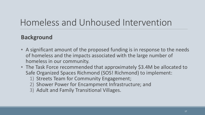#### **Background**

- A significant amount of the proposed funding is in response to the needs of homeless and the impacts associated with the large number of homeless in our community.
- The Task Force recommended that approximately \$3.4M be allocated to Safe Organized Spaces Richmond (SOS! Richmond) to implement:
	- 1) Streets Team for Community Engagement;
	- 2) Shower Power for Encampment Infrastructure; and
	- 3) Adult and Family Transitional Villages.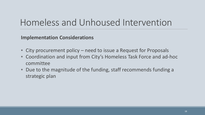**Implementation Considerations**

- City procurement policy need to issue a Request for Proposals
- Coordination and input from City's Homeless Task Force and ad-hoc committee
- Due to the magnitude of the funding, staff recommends funding a strategic plan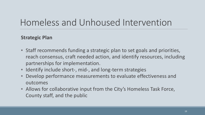#### **Strategic Plan**

- Staff recommends funding a strategic plan to set goals and priorities, reach consensus, craft needed action, and identify resources, including partnerships for implementation.
- Identify include short-, mid-, and long-term strategies
- Develop performance measurements to evaluate effectiveness and outcomes
- Allows for collaborative input from the City's Homeless Task Force, County staff, and the public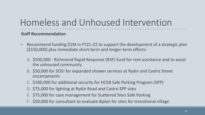#### **Staff Recommendation**

- Recommend funding \$1M in FY21-22 to support the development of a strategic plan (\$150,000) plus immediate short-term and longer-term efforts:
	- A. \$500,000 Richmond Rapid Response (R3F) fund for rent assistance and to assist the unhoused community
	- B. \$50,000 for SOS! for expanded shower services at Rydin and Castro Street encampments
	- C. \$100,000 for additional security for HCEB Safe Parking Program (SPP)
	- D. \$75,000 for lighting at Rydin Road and Castro SPP sites
	- E. \$75,000 for case management for Scattered Sites Safe Parking
	- F. \$50,000 for consultant to evaluate &plan for sites for transitional village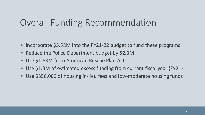# Overall Funding Recommendation

- Incorporate \$5.58M into the FY21-22 budget to fund these programs
- Reduce the Police Department budget by \$2.3M
- Use \$1.63M from American Rescue Plan Act
- Use \$1.3M of estimated excess funding from current fiscal year (FY21)
- Use \$350,000 of housing in-lieu fees and low-moderate housing funds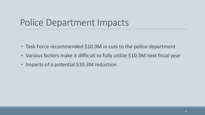### Police Department Impacts

- Task Force recommended \$10.3M in cuts to the police department
- Various factors make it difficult to fully utilize \$10.3M next fiscal year
- Impacts of a potential \$10.3M reduction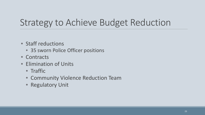### Strategy to Achieve Budget Reduction

- Staff reductions
	- 35 sworn Police Officer positions
- Contracts
- Elimination of Units
	- Traffic
	- Community Violence Reduction Team
	- Regulatory Unit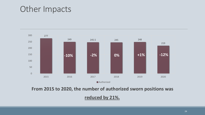#### Other Impacts



**From 2015 to 2020, the number of authorized sworn positions was** 

**reduced by 21%.**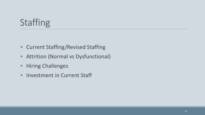# Staffing

- Current Staffing/Revised Staffing
- Attrition (Normal vs Dysfunctional)
- Hiring Challenges
- Investment in Current Staff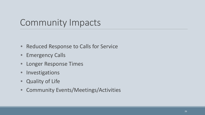### Community Impacts

- Reduced Response to Calls for Service
- Emergency Calls
- Longer Response Times
- Investigations
- Quality of Life
- Community Events/Meetings/Activities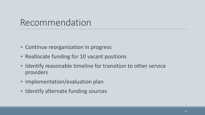#### Recommendation

- Continue reorganization in progress
- Reallocate funding for 10 vacant positions
- Identify reasonable timeline for transition to other service providers
- Implementation/evaluation plan
- Identify alternate funding sources